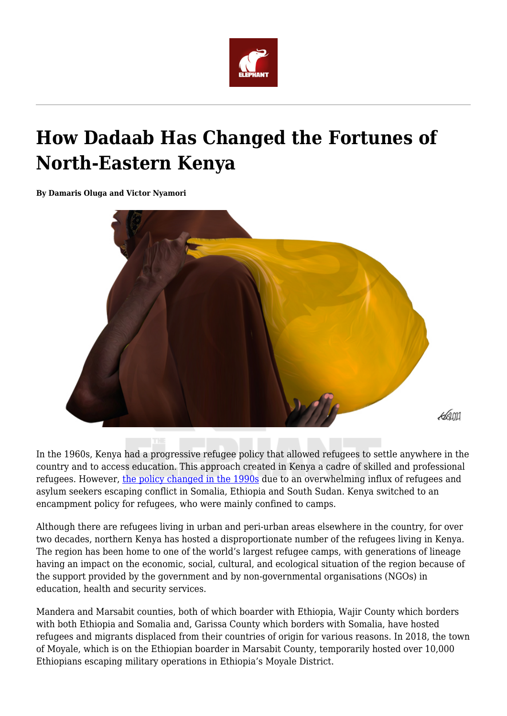

# **How Dadaab Has Changed the Fortunes of North-Eastern Kenya**

**By Damaris Oluga and Victor Nyamori**



In the 1960s, Kenya had a progressive refugee policy that allowed refugees to settle anywhere in the country and to access education. This approach created in Kenya a cadre of skilled and professional refugees. However, [the policy changed in the 1990s](https://www.rckkenya.org/development-of-refugee-law-in-kenya/) due to an overwhelming influx of refugees and asylum seekers escaping conflict in Somalia, Ethiopia and South Sudan. Kenya switched to an encampment policy for refugees, who were mainly confined to camps.

Although there are refugees living in urban and peri-urban areas elsewhere in the country, for over two decades, northern Kenya has hosted a disproportionate number of the refugees living in Kenya. The region has been home to one of the world's largest refugee camps, with generations of lineage having an impact on the economic, social, cultural, and ecological situation of the region because of the support provided by the government and by non-governmental organisations (NGOs) in education, health and security services.

Mandera and Marsabit counties, both of which boarder with Ethiopia, Wajir County which borders with both Ethiopia and Somalia and, Garissa County which borders with Somalia, have hosted refugees and migrants displaced from their countries of origin for various reasons. In 2018, the town of Moyale, which is on the Ethiopian boarder in Marsabit County, temporarily hosted over 10,000 Ethiopians escaping military operations in Ethiopia's Moyale District.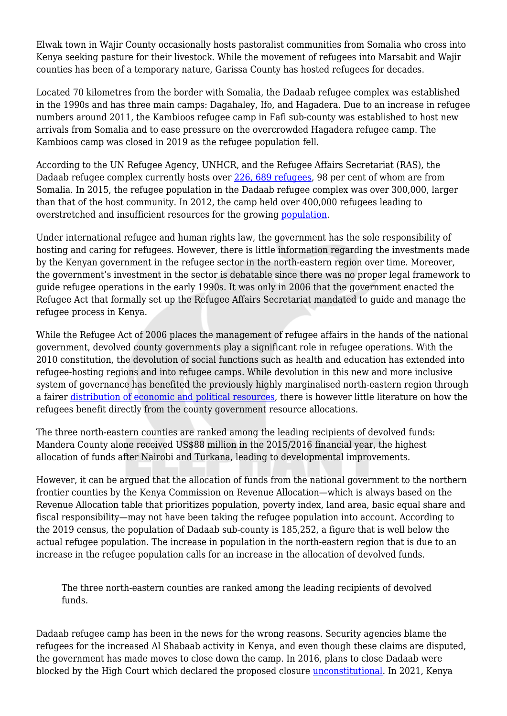Elwak town in Wajir County occasionally hosts pastoralist communities from Somalia who cross into Kenya seeking pasture for their livestock. While the movement of refugees into Marsabit and Wajir counties has been of a temporary nature, Garissa County has hosted refugees for decades.

Located 70 kilometres from the border with Somalia, the Dadaab refugee complex was established in the 1990s and has three main camps: Dagahaley, Ifo, and Hagadera. Due to an increase in refugee numbers around 2011, the Kambioos refugee camp in Fafi sub-county was established to host new arrivals from Somalia and to ease pressure on the overcrowded Hagadera refugee camp. The Kambioos camp was closed in 2019 as the refugee population fell.

According to the UN Refugee Agency, UNHCR, and the Refugee Affairs Secretariat (RAS), the Dadaab refugee complex currently hosts over [226, 689 refugees](https://www.unhcr.org/ke/857-statistics.html), 98 per cent of whom are from Somalia. In 2015, the refugee population in the Dadaab refugee complex was over 300,000, larger than that of the host community. In 2012, the camp held over 400,000 refugees leading to overstretched and insufficient resources for the growing [population](https://www.africaportal.org/features/climate-refugee-rights-east-africa-op-ed-victor-nyamori/).

Under international refugee and human rights law, the government has the sole responsibility of hosting and caring for refugees. However, there is little information regarding the investments made by the Kenyan government in the refugee sector in the north-eastern region over time. Moreover, the government's investment in the sector is debatable since there was no proper legal framework to guide refugee operations in the early 1990s. It was only in 2006 that the government enacted the Refugee Act that formally set up the Refugee Affairs Secretariat mandated to guide and manage the refugee process in Kenya.

While the Refugee Act of 2006 places the management of refugee affairs in the hands of the national government, devolved county governments play a significant role in refugee operations. With the 2010 constitution, the devolution of social functions such as health and education has extended into refugee-hosting regions and into refugee camps. While devolution in this new and more inclusive system of governance has benefited the previously highly marginalised north-eastern region through a fairer [distribution of economic and political resources,](https://www.brookings.edu/opinions/devolution-and-resource-sharing-in-kenya/) there is however little literature on how the refugees benefit directly from the county government resource allocations.

The three north-eastern counties are ranked among the leading recipients of devolved funds: Mandera County alone received US\$88 million in the 2015/2016 financial year, the highest allocation of funds after Nairobi and Turkana, leading to developmental improvements.

However, it can be argued that the allocation of funds from the national government to the northern frontier counties by the Kenya Commission on Revenue Allocation—which is always based on the Revenue Allocation table that prioritizes population, poverty index, land area, basic equal share and fiscal responsibility—may not have been taking the refugee population into account. According to the 2019 census, the population of Dadaab sub-county is 185,252, a figure that is well below the actual refugee population. The increase in population in the north-eastern region that is due to an increase in the refugee population calls for an increase in the allocation of devolved funds.

The three north-eastern counties are ranked among the leading recipients of devolved funds.

Dadaab refugee camp has been in the news for the wrong reasons. Security agencies blame the refugees for the increased Al Shabaab activity in Kenya, and even though these claims are disputed, the government has made moves to close down the camp. In 2016, plans to close Dadaab were blocked by the High Court which declared the proposed closure [unconstitutional](https://www.amnesty.org/en/latest/press-release/2017/02/kenya-historic-ruling-blocks-closure-of-dadaab-refugee-camp/). In 2021, Kenya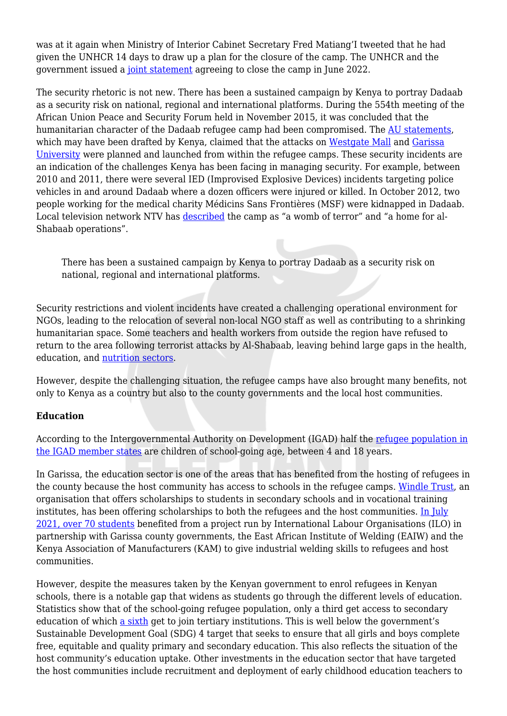was at it again when Ministry of Interior Cabinet Secretary Fred Matiang'I tweeted that he had given the UNHCR 14 days to draw up a plan for the closure of the camp. The UNHCR and the government issued a [joint statement](https://www.unhcr.org/uk/news/press/2021/4/608af0754/joint-statement-government-kenya-united-nations-high-commissioner-refugees.html) agreeing to close the camp in June 2022.

The security rhetoric is not new. There has been a sustained campaign by Kenya to portray Dadaab as a security risk on national, regional and international platforms. During the 554th meeting of the African Union Peace and Security Forum held in November 2015, it was concluded that the humanitarian character of the Dadaab refugee camp had been compromised. The [AU statements](https://www.peaceau.org/en/article/the-554th-meeting-of-the-au-peace-and-security-council-on-the-situation-of-refugees-in-the-dadaab-camps-in-kenya), which may have been drafted by Kenya, claimed that the attacks on [Westgate Mall](https://www.theguardian.com/world/2013/oct/04/westgate-mall-attacks-kenya) and [Garissa](https://www.theguardian.com/world/gallery/2015/apr/02/al-shabaab-gunmen-attack-university-kenya-in-pictures) [University](https://www.theguardian.com/world/gallery/2015/apr/02/al-shabaab-gunmen-attack-university-kenya-in-pictures) were planned and launched from within the refugee camps. These security incidents are an indication of the challenges Kenya has been facing in managing security. For example, between 2010 and 2011, there were several IED (Improvised Explosive Devices) incidents targeting police vehicles in and around Dadaab where a dozen officers were injured or killed. In October 2012, two people working for the medical charity Médicins Sans Frontières (MSF) were kidnapped in Dadaab. Local television network NTV has [described](https://www.youtube.com/watch?v=ClQUJ7bShVI) the camp as "a womb of terror" and "a home for al-Shabaab operations".

There has been a sustained campaign by Kenya to portray Dadaab as a security risk on national, regional and international platforms.

Security restrictions and violent incidents have created a challenging operational environment for NGOs, leading to the relocation of several non-local NGO staff as well as contributing to a shrinking humanitarian space. Some teachers and health workers from outside the region have refused to return to the area following terrorist attacks by Al-Shabaab, leaving behind large gaps in the health, education, and [nutrition sectors.](https://www.iris-france.org/wp-content/uploads/2016/11/ENG-Observatoire-Prospective-Huma-NORTHEasternKenya-12-2015.pdf)

However, despite the challenging situation, the refugee camps have also brought many benefits, not only to Kenya as a country but also to the county governments and the local host communities.

## **Education**

According to the Intergovernmental Authority on Development (IGAD) half the [refugee population in](https://globalcompactrefugees.org/sites/default/files/2019-12/IGAD%20Djibouti%20Plan%20of%20Action%20on%20Education%20(2017).pdf) [the IGAD member states](https://globalcompactrefugees.org/sites/default/files/2019-12/IGAD%20Djibouti%20Plan%20of%20Action%20on%20Education%20(2017).pdf) are children of school-going age, between 4 and 18 years.

In Garissa, the education sector is one of the areas that has benefited from the hosting of refugees in the county because the host community has access to schools in the refugee camps. [Windle Trust](https://twitter.com/Windle_Intl_Ke/status/1207958087312785408?s=20), an organisation that offers scholarships to students in secondary schools and in vocational training institutes, has been offering scholarships to both the refugees and the host communities. [In July](https://www.ilo.org/global/programmes-and-projects/prospects/news/WCMS_813669/lang--en/index.htm?shared_from=shr-tls) [2021, over 70 students](https://www.ilo.org/global/programmes-and-projects/prospects/news/WCMS_813669/lang--en/index.htm?shared_from=shr-tls) benefited from a project run by International Labour Organisations (ILO) in partnership with Garissa county governments, the East African Institute of Welding (EAIW) and the Kenya Association of Manufacturers (KAM) to give industrial welding skills to refugees and host communities.

However, despite the measures taken by the Kenyan government to enrol refugees in Kenyan schools, there is a notable gap that widens as students go through the different levels of education. Statistics show that of the school-going refugee population, only a third get access to secondary education of which [a sixth](https://www.unhcr.org/ke/education) get to join tertiary institutions. This is well below the government's Sustainable Development Goal (SDG) 4 target that seeks to ensure that all girls and boys complete free, equitable and quality primary and secondary education. This also reflects the situation of the host community's education uptake. Other investments in the education sector that have targeted the host communities include recruitment and deployment of early childhood education teachers to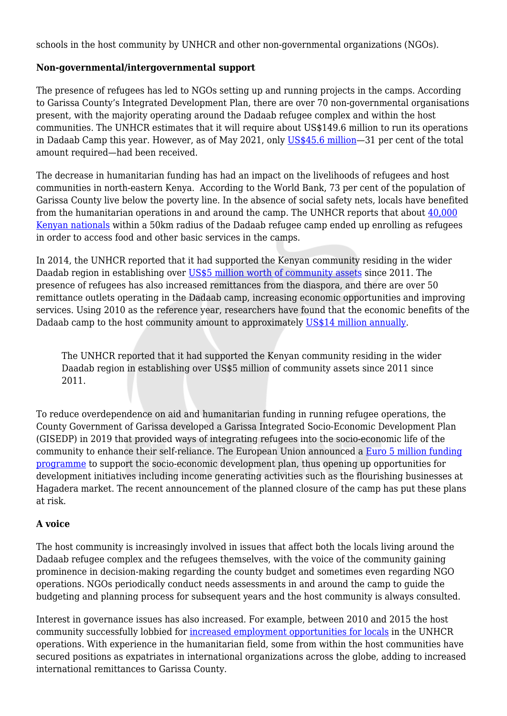schools in the host community by UNHCR and other non-governmental organizations (NGOs).

## **Non-governmental/intergovernmental support**

The presence of refugees has led to NGOs setting up and running projects in the camps. According to Garissa County's Integrated Development Plan, there are over 70 non-governmental organisations present, with the majority operating around the Dadaab refugee complex and within the host communities. The UNHCR estimates that it will require about US\$149.6 million to run its operations in Dadaab Camp this year. However, as of May 2021, only [US\\$45.6 million—](https://www.unhcr.org/ke/funding-updates)31 per cent of the total amount required—had been received.

The decrease in humanitarian funding has had an impact on the livelihoods of refugees and host communities in north-eastern Kenya. According to the World Bank, 73 per cent of the population of Garissa County live below the poverty line. In the absence of social safety nets, locals have benefited from the humanitarian operations in and around the camp. The UNHCR reports that about [40,000](https://www.voanews.com/africa/kenya-vetting-some-40000-people-who-want-shed-refugee-status-dadaab-camp) [Kenyan nationals](https://www.voanews.com/africa/kenya-vetting-some-40000-people-who-want-shed-refugee-status-dadaab-camp) within a 50km radius of the Dadaab refugee camp ended up enrolling as refugees in order to access food and other basic services in the camps.

In 2014, the UNHCR reported that it had supported the Kenyan community residing in the wider Daadab region in establishing over [US\\$5 million worth of community assets](https://www.humanitarianresponse.info/sites/www.humanitarianresponse.info/files/documents/files/Host%20Community%20Support%20briefing%20note%20November%202014.pdf) since 2011. The presence of refugees has also increased remittances from the diaspora, and there are over 50 remittance outlets operating in the Dadaab camp, increasing economic opportunities and improving services. Using 2010 as the reference year, researchers have found that the economic benefits of the Dadaab camp to the host community amount to approximately [US\\$14 million annually.](https://reliefweb.int/report/kenya/search-protection-and-livelihoods-socio-economic-and-environmental-impacts-dadaab)

The UNHCR reported that it had supported the Kenyan community residing in the wider Daadab region in establishing over US\$5 million of community assets since 2011 since 2011.

To reduce overdependence on aid and humanitarian funding in running refugee operations, the County Government of Garissa developed a Garissa Integrated Socio-Economic Development Plan (GISEDP) in 2019 that provided ways of integrating refugees into the socio-economic life of the community to enhance their self-reliance. The European Union announced a [Euro 5 million funding](https://citizentv.co.ke/news/eu-to-spend-over-ksh-500m-on-refugees-communities-in-garissa-284565/) [programme](https://citizentv.co.ke/news/eu-to-spend-over-ksh-500m-on-refugees-communities-in-garissa-284565/) to support the socio-economic development plan, thus opening up opportunities for development initiatives including income generating activities such as the flourishing businesses at Hagadera market. The recent announcement of the planned closure of the camp has put these plans at risk.

#### **A voice**

The host community is increasingly involved in issues that affect both the locals living around the Dadaab refugee complex and the refugees themselves, with the voice of the community gaining prominence in decision-making regarding the county budget and sometimes even regarding NGO operations. NGOs periodically conduct needs assessments in and around the camp to guide the budgeting and planning process for subsequent years and the host community is always consulted.

Interest in governance issues has also increased. For example, between 2010 and 2015 the host community successfully lobbied for [increased employment opportunities for locals](https://reliefweb.int/report/kenya/refugee-camp-operations-paralysed-residents-protest-over-jobs) in the UNHCR operations. With experience in the humanitarian field, some from within the host communities have secured positions as expatriates in international organizations across the globe, adding to increased international remittances to Garissa County.